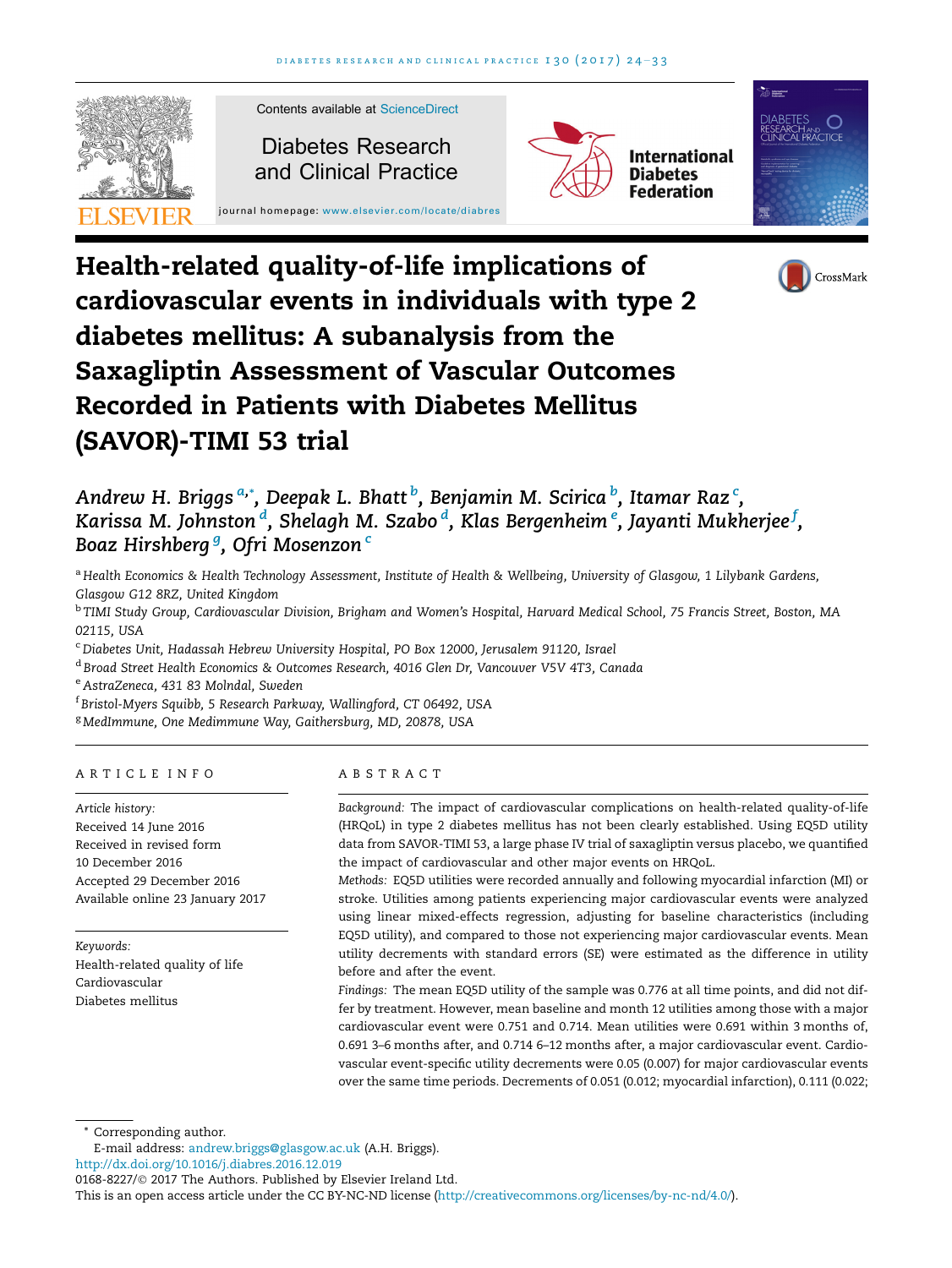





# Andrew H. Briggs <sup>a,</sup>\*, Deepak L. Bhatt <sup>b</sup>, Benjamin M. Scirica <sup>b</sup>, Itamar Raz <sup>c</sup>, Karissa M. Johnston  $\overset{d}{\cdot}$ , Shelagh M. Szabo  $\overset{d}{\cdot}$ , Klas Bergenheim  $^e$ , Jayanti Mukherjee  $^f$ , Boaz Hirshberg <sup>g</sup>, Ofri Mosenzon <sup>c</sup>

a Health Economics & Health Technology Assessment, Institute of Health & Wellbeing, University of Glasgow, 1 Lilybank Gardens, Glasgow G12 8RZ, United Kingdom

<sup>b</sup> TIMI Study Group, Cardiovascular Division, Brigham and Women's Hospital, Harvard Medical School, 75 Francis Street, Boston, MA 02115, USA

<sup>c</sup> Diabetes Unit, Hadassah Hebrew University Hospital, PO Box 12000, Jerusalem 91120, Israel

<sup>d</sup> Broad Street Health Economics & Outcomes Research, 4016 Glen Dr, Vancouver V5V 4T3, Canada

<sup>e</sup> AstraZeneca, 431 83 Molndal, Sweden

f Bristol-Myers Squibb, 5 Research Parkway, Wallingford, CT 06492, USA

<sup>g</sup> MedImmune, One Medimmune Way, Gaithersburg, MD, 20878, USA

# ARTICLE INFO

Article history: Received 14 June 2016 Received in revised form 10 December 2016 Accepted 29 December 2016 Available online 23 January 2017

Keywords: Health-related quality of life Cardiovascular Diabetes mellitus

# ABSTRACT

Background: The impact of cardiovascular complications on health-related quality-of-life (HRQoL) in type 2 diabetes mellitus has not been clearly established. Using EQ5D utility data from SAVOR-TIMI 53, a large phase IV trial of saxagliptin versus placebo, we quantified the impact of cardiovascular and other major events on HRQoL.

Methods: EQ5D utilities were recorded annually and following myocardial infarction (MI) or stroke. Utilities among patients experiencing major cardiovascular events were analyzed using linear mixed-effects regression, adjusting for baseline characteristics (including EQ5D utility), and compared to those not experiencing major cardiovascular events. Mean utility decrements with standard errors (SE) were estimated as the difference in utility before and after the event.

Findings: The mean EQ5D utility of the sample was 0.776 at all time points, and did not differ by treatment. However, mean baseline and month 12 utilities among those with a major cardiovascular event were 0.751 and 0.714. Mean utilities were 0.691 within 3 months of, 0.691 3–6 months after, and 0.714 6–12 months after, a major cardiovascular event. Cardiovascular event-specific utility decrements were 0.05 (0.007) for major cardiovascular events over the same time periods. Decrements of 0.051 (0.012; myocardial infarction), 0.111 (0.022;

Corresponding author.

<http://dx.doi.org/10.1016/j.diabres.2016.12.019>

This is an open access article under the CC BY-NC-ND license [\(http://creativecommons.org/licenses/by-nc-nd/4.0/\)](http://creativecommons.org/licenses/by-nc-nd/4.0/).

E-mail address: [andrew.briggs@glasgow.ac.uk](mailto:andrew.briggs@glasgow.ac.uk) (A.H. Briggs).

<sup>0168-8227/© 2017</sup> The Authors. Published by Elsevier Ireland Ltd.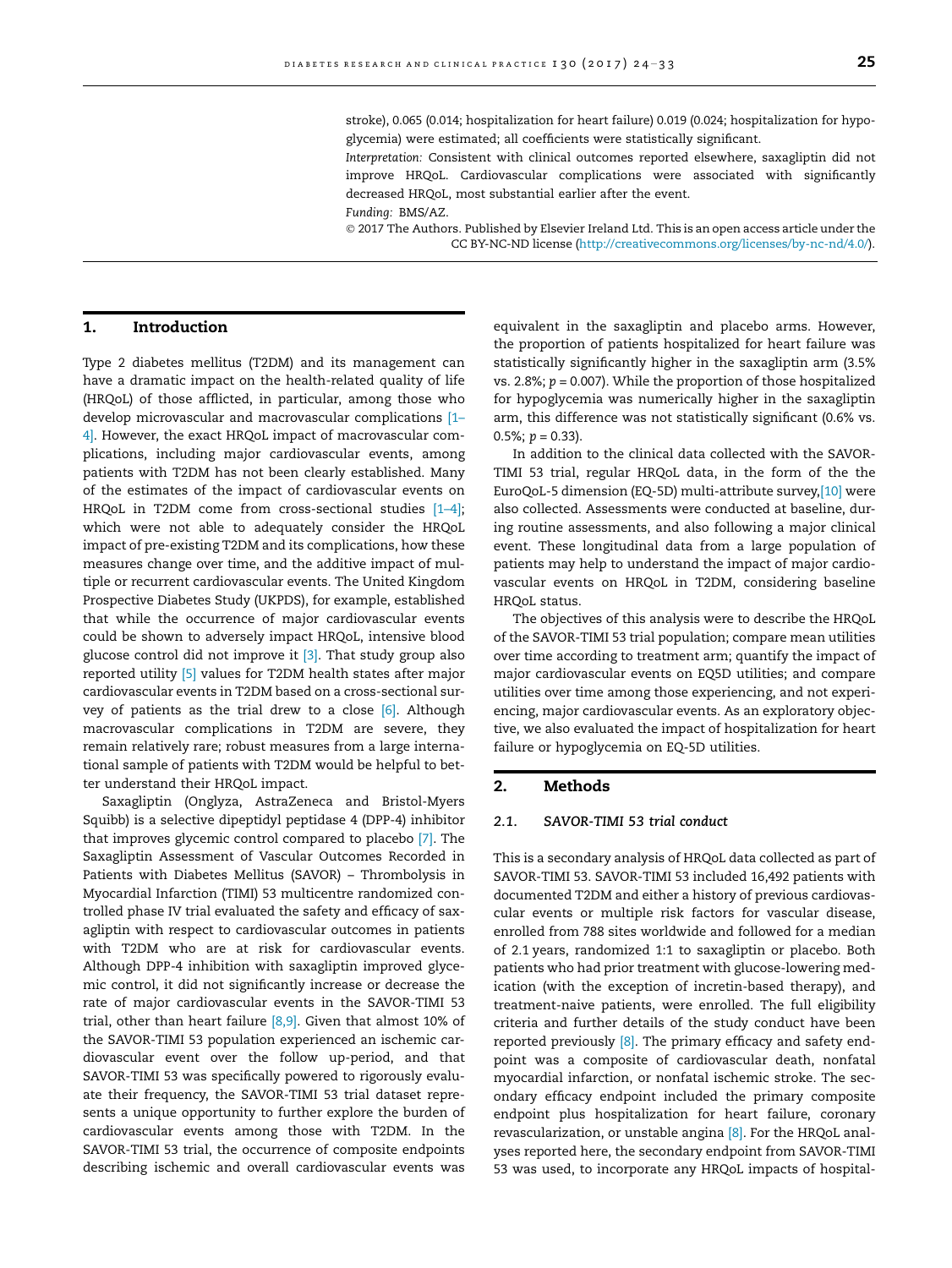stroke), 0.065 (0.014; hospitalization for heart failure) 0.019 (0.024; hospitalization for hypoglycemia) were estimated; all coefficients were statistically significant.

Interpretation: Consistent with clinical outcomes reported elsewhere, saxagliptin did not improve HRQoL. Cardiovascular complications were associated with significantly decreased HRQoL, most substantial earlier after the event.

Funding: BMS/AZ.

 2017 The Authors. Published by Elsevier Ireland Ltd. This is an open access article under the CC BY-NC-ND license [\(http://creativecommons.org/licenses/by-nc-nd/4.0/](http://creativecommons.org/licenses/by-nc-nd/4.0/)).

# 1. Introduction

Type 2 diabetes mellitus (T2DM) and its management can have a dramatic impact on the health-related quality of life (HRQoL) of those afflicted, in particular, among those who develop microvascular and macrovascular complications [\[1–](#page-9-0) [4\].](#page-9-0) However, the exact HRQoL impact of macrovascular complications, including major cardiovascular events, among patients with T2DM has not been clearly established. Many of the estimates of the impact of cardiovascular events on HRQoL in T2DM come from cross-sectional studies [\[1–4\];](#page-9-0) which were not able to adequately consider the HRQoL impact of pre-existing T2DM and its complications, how these measures change over time, and the additive impact of multiple or recurrent cardiovascular events. The United Kingdom Prospective Diabetes Study (UKPDS), for example, established that while the occurrence of major cardiovascular events could be shown to adversely impact HRQoL, intensive blood glucose control did not improve it [\[3\].](#page-9-0) That study group also reported utility [\[5\]](#page-9-0) values for T2DM health states after major cardiovascular events in T2DM based on a cross-sectional survey of patients as the trial drew to a close [\[6\].](#page-9-0) Although macrovascular complications in T2DM are severe, they remain relatively rare; robust measures from a large international sample of patients with T2DM would be helpful to better understand their HRQoL impact.

Saxagliptin (Onglyza, AstraZeneca and Bristol-Myers Squibb) is a selective dipeptidyl peptidase 4 (DPP-4) inhibitor that improves glycemic control compared to placebo [\[7\]](#page-9-0). The Saxagliptin Assessment of Vascular Outcomes Recorded in Patients with Diabetes Mellitus (SAVOR) – Thrombolysis in Myocardial Infarction (TIMI) 53 multicentre randomized controlled phase IV trial evaluated the safety and efficacy of saxagliptin with respect to cardiovascular outcomes in patients with T2DM who are at risk for cardiovascular events. Although DPP-4 inhibition with saxagliptin improved glycemic control, it did not significantly increase or decrease the rate of major cardiovascular events in the SAVOR-TIMI 53 trial, other than heart failure  $[8,9]$ . Given that almost 10% of the SAVOR-TIMI 53 population experienced an ischemic cardiovascular event over the follow up-period, and that SAVOR-TIMI 53 was specifically powered to rigorously evaluate their frequency, the SAVOR-TIMI 53 trial dataset represents a unique opportunity to further explore the burden of cardiovascular events among those with T2DM. In the SAVOR-TIMI 53 trial, the occurrence of composite endpoints describing ischemic and overall cardiovascular events was

equivalent in the saxagliptin and placebo arms. However, the proportion of patients hospitalized for heart failure was statistically significantly higher in the saxagliptin arm (3.5% vs. 2.8%;  $p = 0.007$ ). While the proportion of those hospitalized for hypoglycemia was numerically higher in the saxagliptin arm, this difference was not statistically significant (0.6% vs.  $0.5\%$ ;  $p = 0.33$ ).

In addition to the clinical data collected with the SAVOR-TIMI 53 trial, regular HRQoL data, in the form of the the EuroQoL-5 dimension (EQ-5D) multi-attribute survey[,\[10\]](#page-9-0) were also collected. Assessments were conducted at baseline, during routine assessments, and also following a major clinical event. These longitudinal data from a large population of patients may help to understand the impact of major cardiovascular events on HRQoL in T2DM, considering baseline HRQoL status.

The objectives of this analysis were to describe the HRQoL of the SAVOR-TIMI 53 trial population; compare mean utilities over time according to treatment arm; quantify the impact of major cardiovascular events on EQ5D utilities; and compare utilities over time among those experiencing, and not experiencing, major cardiovascular events. As an exploratory objective, we also evaluated the impact of hospitalization for heart failure or hypoglycemia on EQ-5D utilities.

#### 2. Methods

### 2.1. SAVOR-TIMI 53 trial conduct

This is a secondary analysis of HRQoL data collected as part of SAVOR-TIMI 53. SAVOR-TIMI 53 included 16,492 patients with documented T2DM and either a history of previous cardiovascular events or multiple risk factors for vascular disease, enrolled from 788 sites worldwide and followed for a median of 2.1 years, randomized 1:1 to saxagliptin or placebo. Both patients who had prior treatment with glucose-lowering medication (with the exception of incretin-based therapy), and treatment-naive patients, were enrolled. The full eligibility criteria and further details of the study conduct have been reported previously  $[8]$ . The primary efficacy and safety endpoint was a composite of cardiovascular death, nonfatal myocardial infarction, or nonfatal ischemic stroke. The secondary efficacy endpoint included the primary composite endpoint plus hospitalization for heart failure, coronary revascularization, or unstable angina [\[8\].](#page-9-0) For the HRQoL analyses reported here, the secondary endpoint from SAVOR-TIMI 53 was used, to incorporate any HRQoL impacts of hospital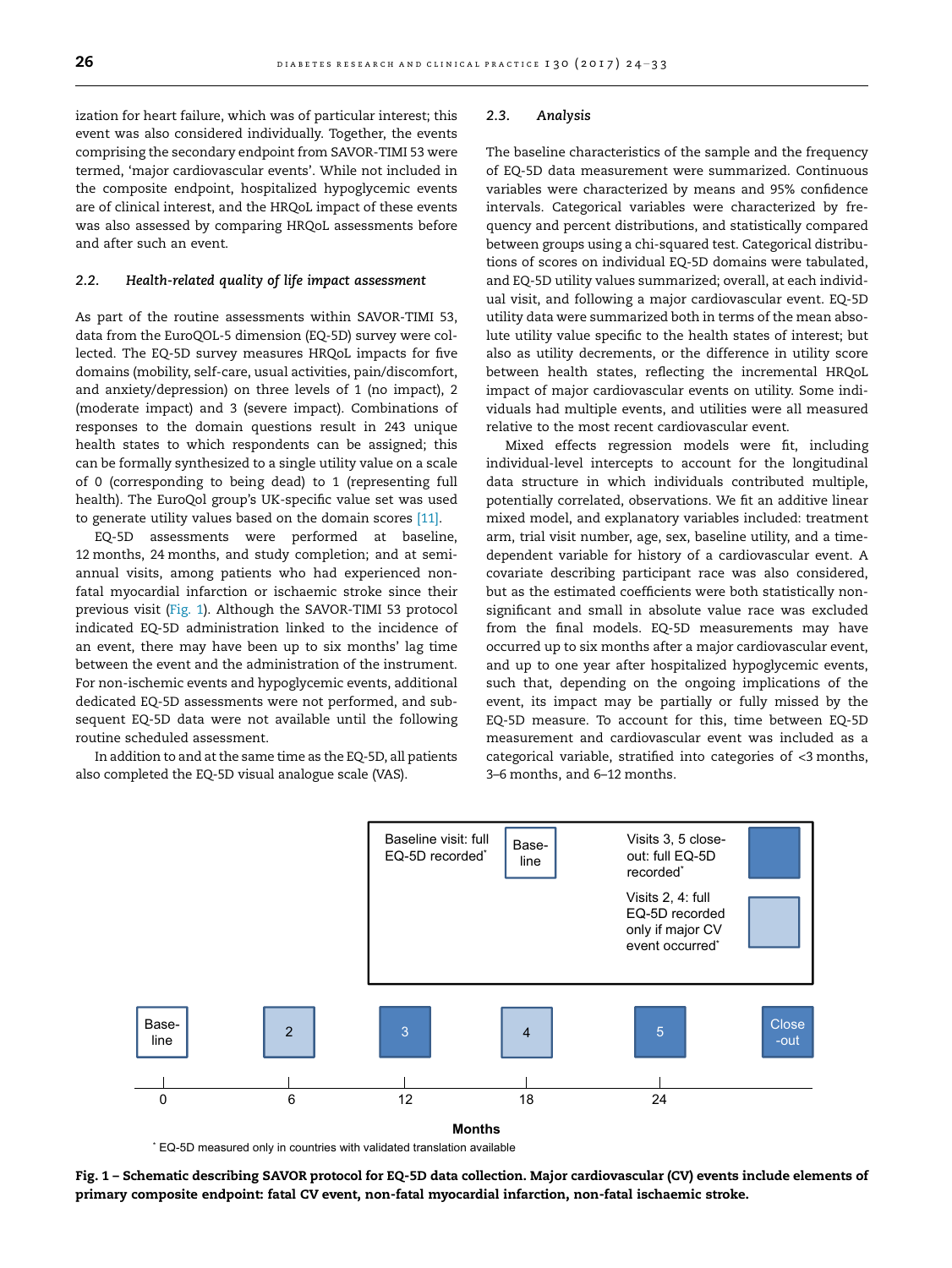ization for heart failure, which was of particular interest; this event was also considered individually. Together, the events comprising the secondary endpoint from SAVOR-TIMI 53 were termed, 'major cardiovascular events'. While not included in the composite endpoint, hospitalized hypoglycemic events are of clinical interest, and the HRQoL impact of these events was also assessed by comparing HRQoL assessments before and after such an event.

### 2.2. Health-related quality of life impact assessment

As part of the routine assessments within SAVOR-TIMI 53, data from the EuroQOL-5 dimension (EQ-5D) survey were collected. The EQ-5D survey measures HRQoL impacts for five domains (mobility, self-care, usual activities, pain/discomfort, and anxiety/depression) on three levels of 1 (no impact), 2 (moderate impact) and 3 (severe impact). Combinations of responses to the domain questions result in 243 unique health states to which respondents can be assigned; this can be formally synthesized to a single utility value on a scale of 0 (corresponding to being dead) to 1 (representing full health). The EuroQol group's UK-specific value set was used to generate utility values based on the domain scores [\[11\].](#page-9-0)

EQ-5D assessments were performed at baseline, 12 months, 24 months, and study completion; and at semiannual visits, among patients who had experienced nonfatal myocardial infarction or ischaemic stroke since their previous visit (Fig. 1). Although the SAVOR-TIMI 53 protocol indicated EQ-5D administration linked to the incidence of an event, there may have been up to six months' lag time between the event and the administration of the instrument. For non-ischemic events and hypoglycemic events, additional dedicated EQ-5D assessments were not performed, and subsequent EQ-5D data were not available until the following routine scheduled assessment.

In addition to and at the same time as the EQ-5D, all patients also completed the EQ-5D visual analogue scale (VAS).

#### 2.3. Analysis

The baseline characteristics of the sample and the frequency of EQ-5D data measurement were summarized. Continuous variables were characterized by means and 95% confidence intervals. Categorical variables were characterized by frequency and percent distributions, and statistically compared between groups using a chi-squared test. Categorical distributions of scores on individual EQ-5D domains were tabulated, and EQ-5D utility values summarized; overall, at each individual visit, and following a major cardiovascular event. EQ-5D utility data were summarized both in terms of the mean absolute utility value specific to the health states of interest; but also as utility decrements, or the difference in utility score between health states, reflecting the incremental HRQoL impact of major cardiovascular events on utility. Some individuals had multiple events, and utilities were all measured relative to the most recent cardiovascular event.

Mixed effects regression models were fit, including individual-level intercepts to account for the longitudinal data structure in which individuals contributed multiple, potentially correlated, observations. We fit an additive linear mixed model, and explanatory variables included: treatment arm, trial visit number, age, sex, baseline utility, and a timedependent variable for history of a cardiovascular event. A covariate describing participant race was also considered, but as the estimated coefficients were both statistically nonsignificant and small in absolute value race was excluded from the final models. EQ-5D measurements may have occurred up to six months after a major cardiovascular event, and up to one year after hospitalized hypoglycemic events, such that, depending on the ongoing implications of the event, its impact may be partially or fully missed by the EQ-5D measure. To account for this, time between EQ-5D measurement and cardiovascular event was included as a categorical variable, stratified into categories of <3 months, 3–6 months, and 6–12 months.



\* EQ-5D measured only in countries with validated translation available

Fig. 1 – Schematic describing SAVOR protocol for EQ-5D data collection. Major cardiovascular (CV) events include elements of primary composite endpoint: fatal CV event, non-fatal myocardial infarction, non-fatal ischaemic stroke.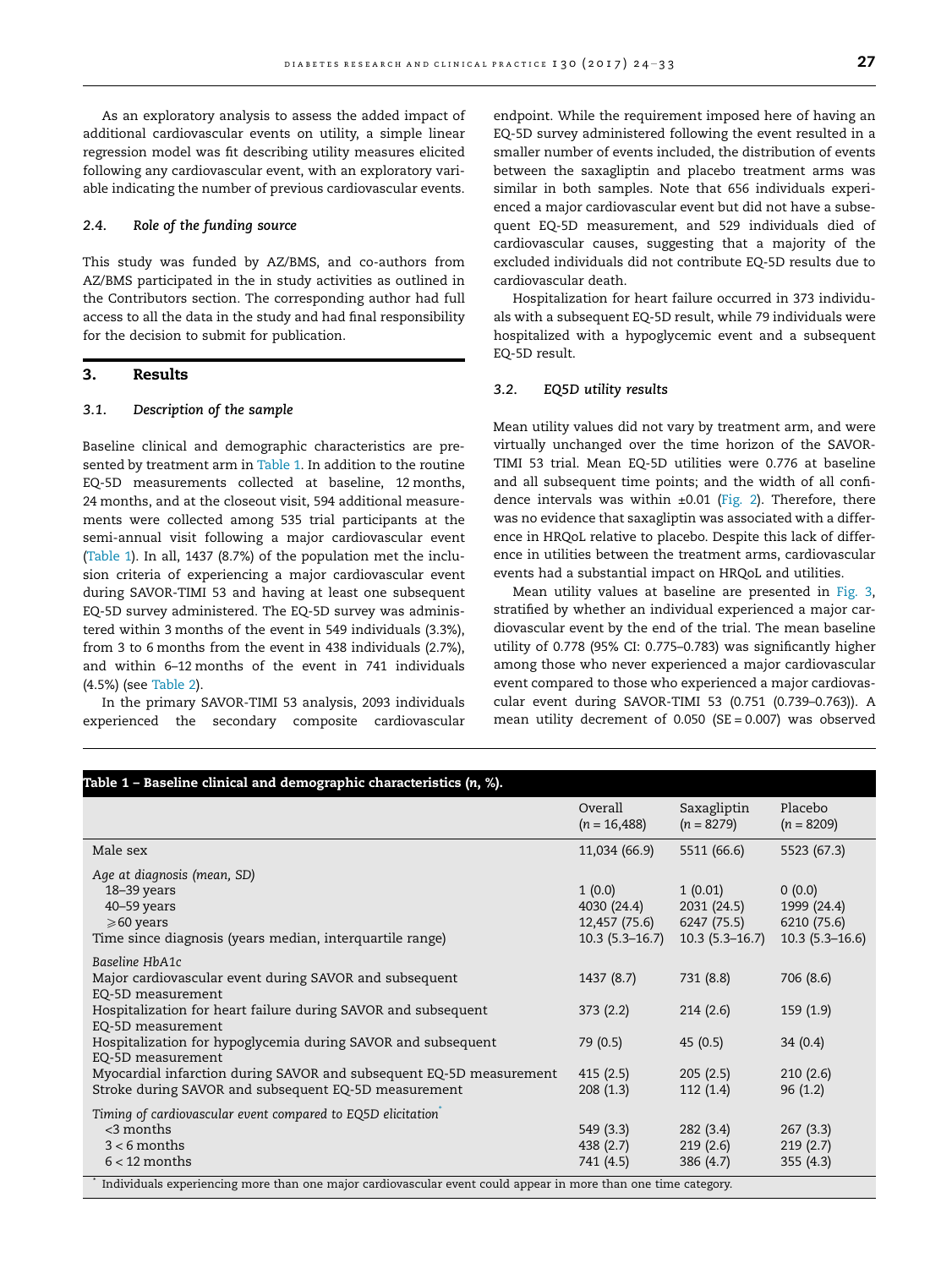As an exploratory analysis to assess the added impact of additional cardiovascular events on utility, a simple linear regression model was fit describing utility measures elicited following any cardiovascular event, with an exploratory variable indicating the number of previous cardiovascular events.

### 2.4. Role of the funding source

This study was funded by AZ/BMS, and co-authors from AZ/BMS participated in the in study activities as outlined in the Contributors section. The corresponding author had full access to all the data in the study and had final responsibility for the decision to submit for publication.

### 3. Results

#### 3.1. Description of the sample

Baseline clinical and demographic characteristics are presented by treatment arm in Table 1. In addition to the routine EQ-5D measurements collected at baseline, 12 months, 24 months, and at the closeout visit, 594 additional measurements were collected among 535 trial participants at the semi-annual visit following a major cardiovascular event (Table 1). In all, 1437 (8.7%) of the population met the inclusion criteria of experiencing a major cardiovascular event during SAVOR-TIMI 53 and having at least one subsequent EQ-5D survey administered. The EQ-5D survey was administered within 3 months of the event in 549 individuals (3.3%), from 3 to 6 months from the event in 438 individuals (2.7%), and within 6–12 months of the event in 741 individuals (4.5%) (see [Table 2\)](#page-4-0).

In the primary SAVOR-TIMI 53 analysis, 2093 individuals experienced the secondary composite cardiovascular

endpoint. While the requirement imposed here of having an EQ-5D survey administered following the event resulted in a smaller number of events included, the distribution of events between the saxagliptin and placebo treatment arms was similar in both samples. Note that 656 individuals experienced a major cardiovascular event but did not have a subsequent EQ-5D measurement, and 529 individuals died of cardiovascular causes, suggesting that a majority of the excluded individuals did not contribute EQ-5D results due to cardiovascular death.

Hospitalization for heart failure occurred in 373 individuals with a subsequent EQ-5D result, while 79 individuals were hospitalized with a hypoglycemic event and a subsequent EQ-5D result.

### 3.2. EQ5D utility results

Mean utility values did not vary by treatment arm, and were virtually unchanged over the time horizon of the SAVOR-TIMI 53 trial. Mean EQ-5D utilities were 0.776 at baseline and all subsequent time points; and the width of all confidence intervals was within  $\pm 0.01$  ([Fig. 2\)](#page-4-0). Therefore, there was no evidence that saxagliptin was associated with a difference in HRQoL relative to placebo. Despite this lack of difference in utilities between the treatment arms, cardiovascular events had a substantial impact on HRQoL and utilities.

Mean utility values at baseline are presented in [Fig. 3,](#page-5-0) stratified by whether an individual experienced a major cardiovascular event by the end of the trial. The mean baseline utility of 0.778 (95% CI: 0.775–0.783) was significantly higher among those who never experienced a major cardiovascular event compared to those who experienced a major cardiovascular event during SAVOR-TIMI 53 (0.751 (0.739–0.763)). A mean utility decrement of 0.050 (SE = 0.007) was observed

|                                                                                                                                                                                                                                                     | Overall<br>$(n = 16,488)$                                  | Saxagliptin<br>$(n = 8279)$                               | Placebo<br>$(n = 8209)$                                  |
|-----------------------------------------------------------------------------------------------------------------------------------------------------------------------------------------------------------------------------------------------------|------------------------------------------------------------|-----------------------------------------------------------|----------------------------------------------------------|
| Male sex                                                                                                                                                                                                                                            | 11,034 (66.9)                                              | 5511 (66.6)                                               | 5523 (67.3)                                              |
| Age at diagnosis (mean, SD)<br>18-39 years<br>$40 - 59$ years<br>$\geqslant 60$ years<br>Time since diagnosis (years median, interquartile range)                                                                                                   | 1(0.0)<br>4030 (24.4)<br>12,457 (75.6)<br>$10.3(5.3-16.7)$ | 1(0.01)<br>2031 (24.5)<br>6247 (75.5)<br>$10.3(5.3-16.7)$ | 0(0.0)<br>1999 (24.4)<br>6210 (75.6)<br>$10.3(5.3-16.6)$ |
| Baseline HbA1c<br>Major cardiovascular event during SAVOR and subsequent<br>EQ-5D measurement<br>Hospitalization for heart failure during SAVOR and subsequent<br>EQ-5D measurement<br>Hospitalization for hypoglycemia during SAVOR and subsequent | 1437(8.7)<br>373(2.2)<br>79(0.5)                           | 731 (8.8)<br>214(2.6)<br>45(0.5)                          | 706 (8.6)<br>159(1.9)<br>34(0.4)                         |
| EQ-5D measurement<br>Myocardial infarction during SAVOR and subsequent EQ-5D measurement<br>Stroke during SAVOR and subsequent EQ-5D measurement                                                                                                    | 415(2.5)<br>208(1.3)                                       | 205(2.5)<br>112(1.4)                                      | 210(2.6)<br>96(1.2)                                      |
| Timing of cardiovascular event compared to EQ5D elicitation<br>$<$ 3 months<br>$3 < 6$ months<br>$6 < 12$ months<br>Individuals experiencing more than one major cardiovascular event could appear in more than one time category.                  | 549 (3.3)<br>438(2.7)<br>741 (4.5)                         | 282(3.4)<br>219(2.6)<br>386 (4.7)                         | 267(3.3)<br>219(2.7)<br>355(4.3)                         |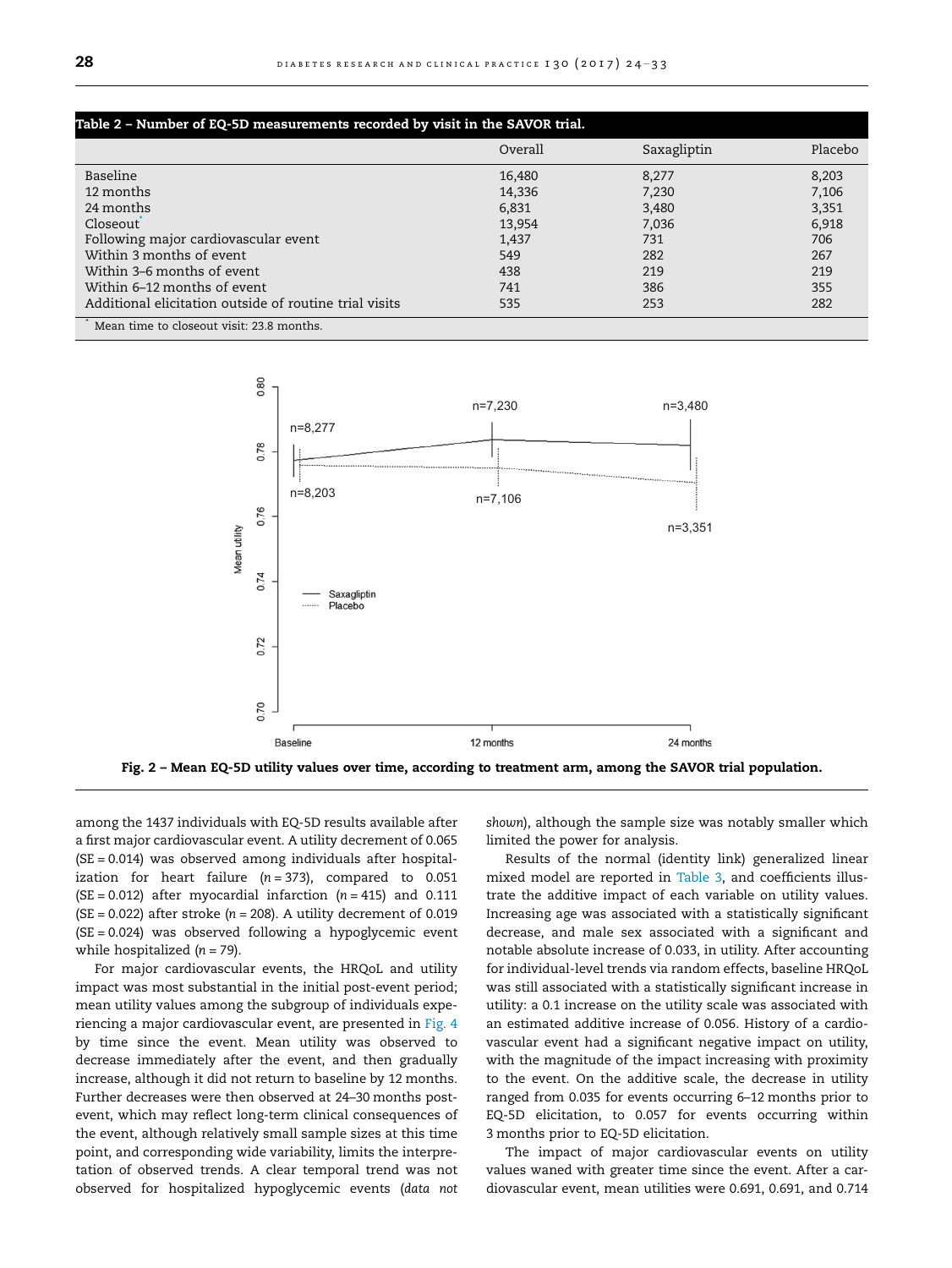<span id="page-4-0"></span>

| Table 2 – Number of EQ-5D measurements recorded by visit in the SAVOR trial. |         |             |         |  |  |  |
|------------------------------------------------------------------------------|---------|-------------|---------|--|--|--|
|                                                                              | Overall | Saxagliptin | Placebo |  |  |  |
| Baseline                                                                     | 16,480  | 8,277       | 8,203   |  |  |  |
| 12 months                                                                    | 14,336  | 7,230       | 7,106   |  |  |  |
| 24 months                                                                    | 6,831   | 3,480       | 3,351   |  |  |  |
| Closeout                                                                     | 13,954  | 7,036       | 6,918   |  |  |  |
| Following major cardiovascular event                                         | 1,437   | 731         | 706     |  |  |  |
| Within 3 months of event                                                     | 549     | 282         | 267     |  |  |  |
| Within 3–6 months of event                                                   | 438     | 219         | 219     |  |  |  |
| Within 6–12 months of event                                                  | 741     | 386         | 355     |  |  |  |
| Additional elicitation outside of routine trial visits                       | 535     | 253         | 282     |  |  |  |
| Mean time to closeout visit: 23.8 months.                                    |         |             |         |  |  |  |



among the 1437 individuals with EQ-5D results available after a first major cardiovascular event. A utility decrement of 0.065 (SE = 0.014) was observed among individuals after hospitalization for heart failure  $(n = 373)$ , compared to 0.051  $(SE = 0.012)$  after myocardial infarction  $(n = 415)$  and 0.111 (SE = 0.022) after stroke ( $n = 208$ ). A utility decrement of 0.019 (SE = 0.024) was observed following a hypoglycemic event while hospitalized  $(n = 79)$ .

For major cardiovascular events, the HRQoL and utility impact was most substantial in the initial post-event period; mean utility values among the subgroup of individuals experiencing a major cardiovascular event, are presented in [Fig. 4](#page-5-0) by time since the event. Mean utility was observed to decrease immediately after the event, and then gradually increase, although it did not return to baseline by 12 months. Further decreases were then observed at 24–30 months postevent, which may reflect long-term clinical consequences of the event, although relatively small sample sizes at this time point, and corresponding wide variability, limits the interpretation of observed trends. A clear temporal trend was not observed for hospitalized hypoglycemic events (data not shown), although the sample size was notably smaller which limited the power for analysis.

Results of the normal (identity link) generalized linear mixed model are reported in [Table 3,](#page-6-0) and coefficients illustrate the additive impact of each variable on utility values. Increasing age was associated with a statistically significant decrease, and male sex associated with a significant and notable absolute increase of 0.033, in utility. After accounting for individual-level trends via random effects, baseline HRQoL was still associated with a statistically significant increase in utility: a 0.1 increase on the utility scale was associated with an estimated additive increase of 0.056. History of a cardiovascular event had a significant negative impact on utility, with the magnitude of the impact increasing with proximity to the event. On the additive scale, the decrease in utility ranged from 0.035 for events occurring 6–12 months prior to EQ-5D elicitation, to 0.057 for events occurring within 3 months prior to EQ-5D elicitation.

The impact of major cardiovascular events on utility values waned with greater time since the event. After a cardiovascular event, mean utilities were 0.691, 0.691, and 0.714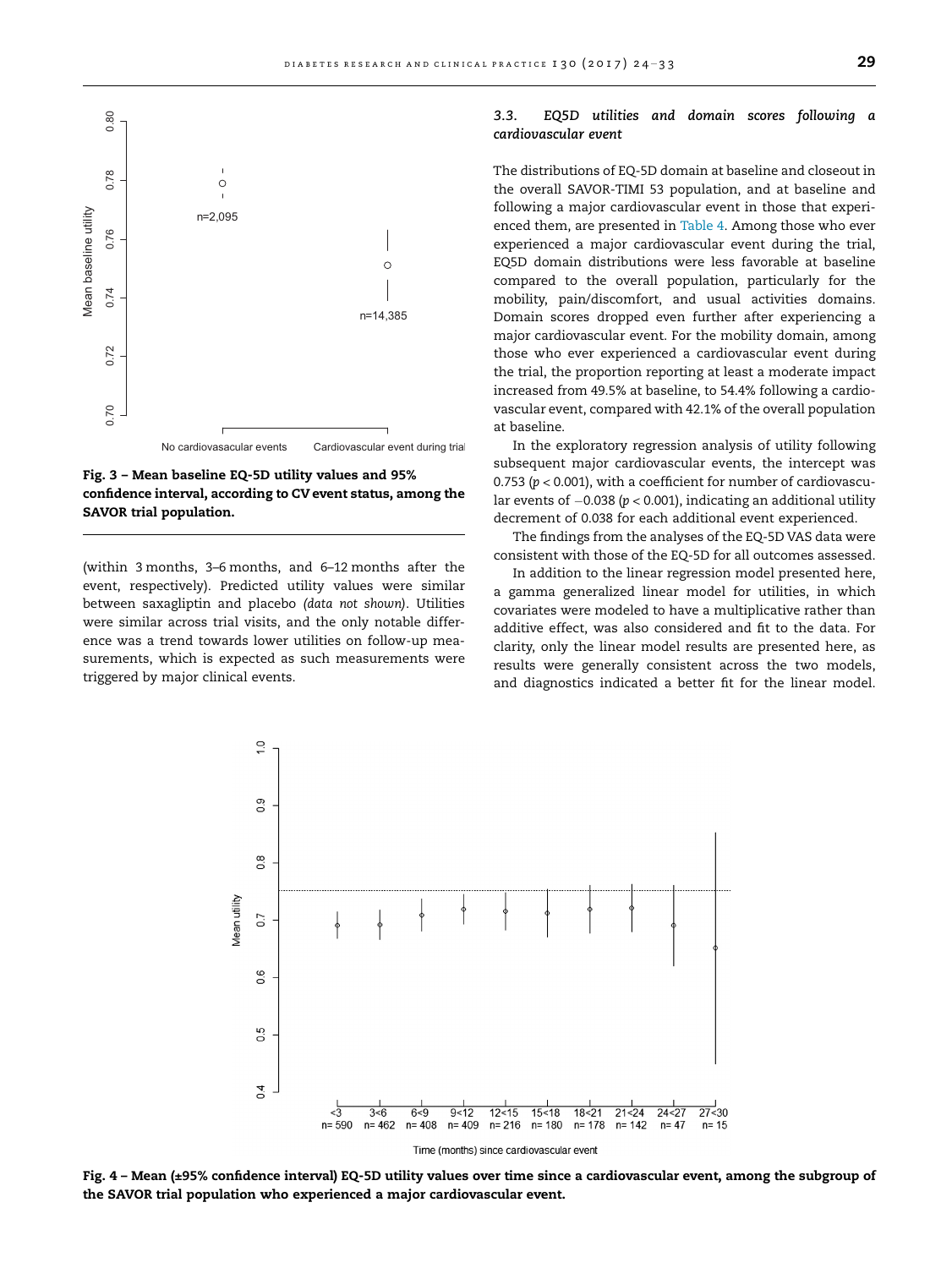<span id="page-5-0"></span>

Fig. 3 – Mean baseline EQ-5D utility values and 95% confidence interval, according to CV event status, among the SAVOR trial population.

(within 3 months, 3–6 months, and 6–12 months after the event, respectively). Predicted utility values were similar between saxagliptin and placebo (data not shown). Utilities were similar across trial visits, and the only notable difference was a trend towards lower utilities on follow-up measurements, which is expected as such measurements were triggered by major clinical events.

### 3.3. EQ5D utilities and domain scores following a cardiovascular event

The distributions of EQ-5D domain at baseline and closeout in the overall SAVOR-TIMI 53 population, and at baseline and following a major cardiovascular event in those that experienced them, are presented in [Table 4](#page-7-0). Among those who ever experienced a major cardiovascular event during the trial, EQ5D domain distributions were less favorable at baseline compared to the overall population, particularly for the mobility, pain/discomfort, and usual activities domains. Domain scores dropped even further after experiencing a major cardiovascular event. For the mobility domain, among those who ever experienced a cardiovascular event during the trial, the proportion reporting at least a moderate impact increased from 49.5% at baseline, to 54.4% following a cardiovascular event, compared with 42.1% of the overall population at baseline.

In the exploratory regression analysis of utility following subsequent major cardiovascular events, the intercept was 0.753 ( $p < 0.001$ ), with a coefficient for number of cardiovascular events of  $-0.038$  ( $p < 0.001$ ), indicating an additional utility decrement of 0.038 for each additional event experienced.

The findings from the analyses of the EQ-5D VAS data were consistent with those of the EQ-5D for all outcomes assessed.

In addition to the linear regression model presented here, a gamma generalized linear model for utilities, in which covariates were modeled to have a multiplicative rather than additive effect, was also considered and fit to the data. For clarity, only the linear model results are presented here, as results were generally consistent across the two models, and diagnostics indicated a better fit for the linear model.



Fig. 4 – Mean (±95% confidence interval) EQ-5D utility values over time since a cardiovascular event, among the subgroup of the SAVOR trial population who experienced a major cardiovascular event.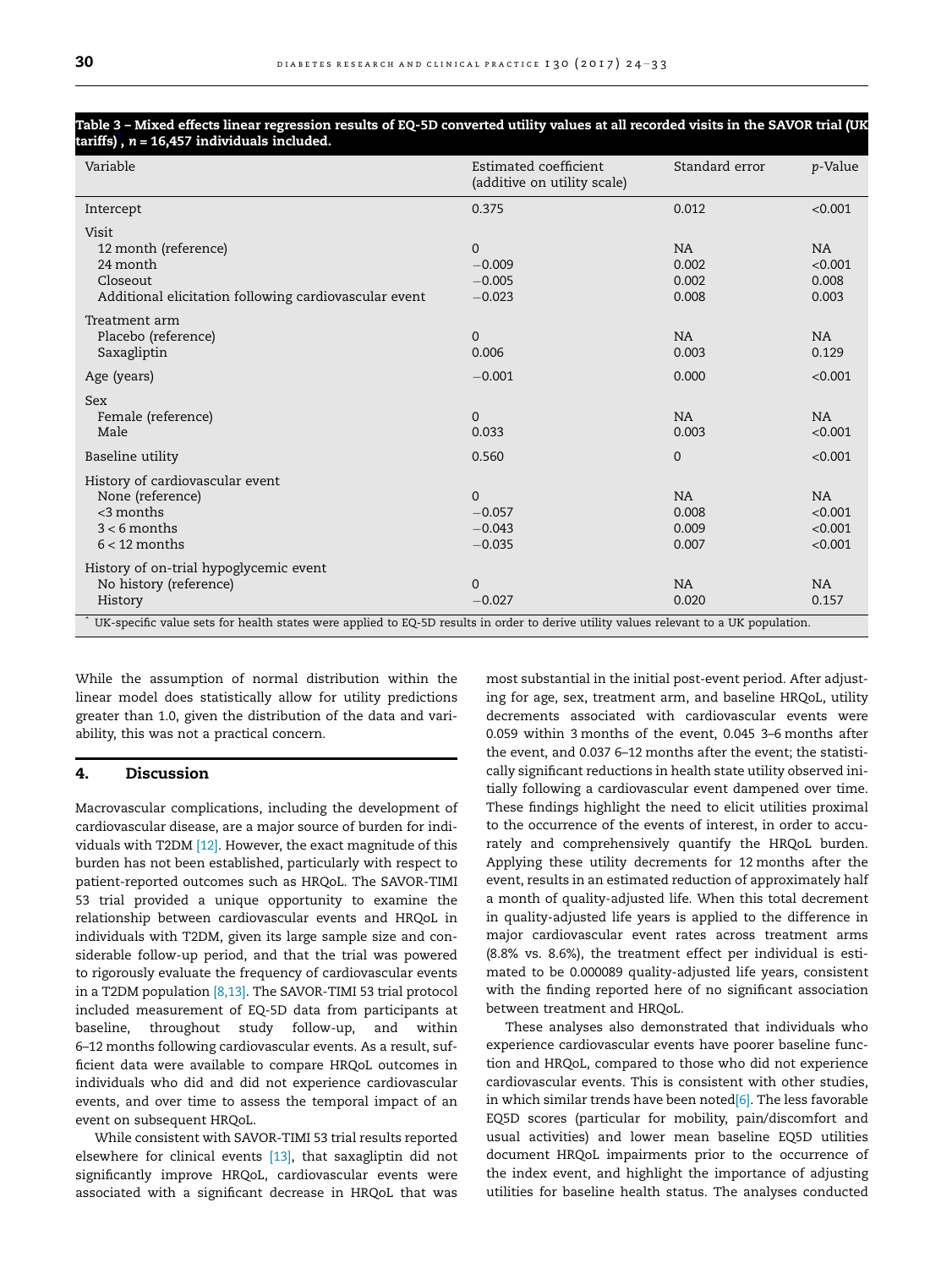| Variable                                                                                                                              | Estimated coefficient<br>(additive on utility scale) | Standard error                       | p-Value                             |
|---------------------------------------------------------------------------------------------------------------------------------------|------------------------------------------------------|--------------------------------------|-------------------------------------|
| Intercept                                                                                                                             | 0.375                                                | 0.012                                | < 0.001                             |
| Visit<br>12 month (reference)<br>24 month                                                                                             | $\Omega$<br>$-0.009$                                 | <b>NA</b><br>0.002                   | NA<br>< 0.001                       |
| Closeout<br>Additional elicitation following cardiovascular event                                                                     | $-0.005$<br>$-0.023$                                 | 0.002<br>0.008                       | 0.008<br>0.003                      |
| Treatment arm<br>Placebo (reference)<br>Saxagliptin                                                                                   | $\Omega$<br>0.006                                    | <b>NA</b><br>0.003                   | NA<br>0.129                         |
| Age (years)                                                                                                                           | $-0.001$                                             | 0.000                                | < 0.001                             |
| <b>Sex</b><br>Female (reference)<br>Male                                                                                              | $\Omega$<br>0.033                                    | <b>NA</b><br>0.003                   | NA<br>< 0.001                       |
| Baseline utility                                                                                                                      | 0.560                                                | $\mathbf{0}$                         | < 0.001                             |
| History of cardiovascular event<br>None (reference)<br>$<$ 3 months<br>$3 < 6$ months<br>$6 < 12$ months                              | $\Omega$<br>$-0.057$<br>$-0.043$<br>$-0.035$         | <b>NA</b><br>0.008<br>0.009<br>0.007 | NA<br>< 0.001<br>< 0.001<br>< 0.001 |
| History of on-trial hypoglycemic event<br>No history (reference)<br>History                                                           | $\Omega$<br>$-0.027$                                 | <b>NA</b><br>0.020                   | NA<br>0.157                         |
| UK-specific value sets for health states were applied to EQ-5D results in order to derive utility values relevant to a UK population. |                                                      |                                      |                                     |

## <span id="page-6-0"></span>Table 3 – Mixed effects linear regression results of EQ-5D converted utility values at all recorded visits in the SAVOR trial (UK tariffs), n = 16,457 individuals included.

While the assumption of normal distribution within the linear model does statistically allow for utility predictions greater than 1.0, given the distribution of the data and variability, this was not a practical concern.

### 4. Discussion

Macrovascular complications, including the development of cardiovascular disease, are a major source of burden for individuals with T2DM [\[12\].](#page-9-0) However, the exact magnitude of this burden has not been established, particularly with respect to patient-reported outcomes such as HRQoL. The SAVOR-TIMI 53 trial provided a unique opportunity to examine the relationship between cardiovascular events and HRQoL in individuals with T2DM, given its large sample size and considerable follow-up period, and that the trial was powered to rigorously evaluate the frequency of cardiovascular events in a T2DM population [\[8,13\].](#page-9-0) The SAVOR-TIMI 53 trial protocol included measurement of EQ-5D data from participants at baseline, throughout study follow-up, and within 6–12 months following cardiovascular events. As a result, sufficient data were available to compare HRQoL outcomes in individuals who did and did not experience cardiovascular events, and over time to assess the temporal impact of an event on subsequent HRQoL.

While consistent with SAVOR-TIMI 53 trial results reported elsewhere for clinical events [\[13\]](#page-9-0), that saxagliptin did not significantly improve HRQoL, cardiovascular events were associated with a significant decrease in HRQoL that was most substantial in the initial post-event period. After adjusting for age, sex, treatment arm, and baseline HRQoL, utility decrements associated with cardiovascular events were 0.059 within 3 months of the event, 0.045 3–6 months after the event, and 0.037 6–12 months after the event; the statistically significant reductions in health state utility observed initially following a cardiovascular event dampened over time. These findings highlight the need to elicit utilities proximal to the occurrence of the events of interest, in order to accurately and comprehensively quantify the HRQoL burden. Applying these utility decrements for 12 months after the event, results in an estimated reduction of approximately half a month of quality-adjusted life. When this total decrement in quality-adjusted life years is applied to the difference in major cardiovascular event rates across treatment arms (8.8% vs. 8.6%), the treatment effect per individual is estimated to be 0.000089 quality-adjusted life years, consistent with the finding reported here of no significant association between treatment and HRQoL.

These analyses also demonstrated that individuals who experience cardiovascular events have poorer baseline function and HRQoL, compared to those who did not experience cardiovascular events. This is consistent with other studies, in which similar trends have been noted $[6]$ . The less favorable EQ5D scores (particular for mobility, pain/discomfort and usual activities) and lower mean baseline EQ5D utilities document HRQoL impairments prior to the occurrence of the index event, and highlight the importance of adjusting utilities for baseline health status. The analyses conducted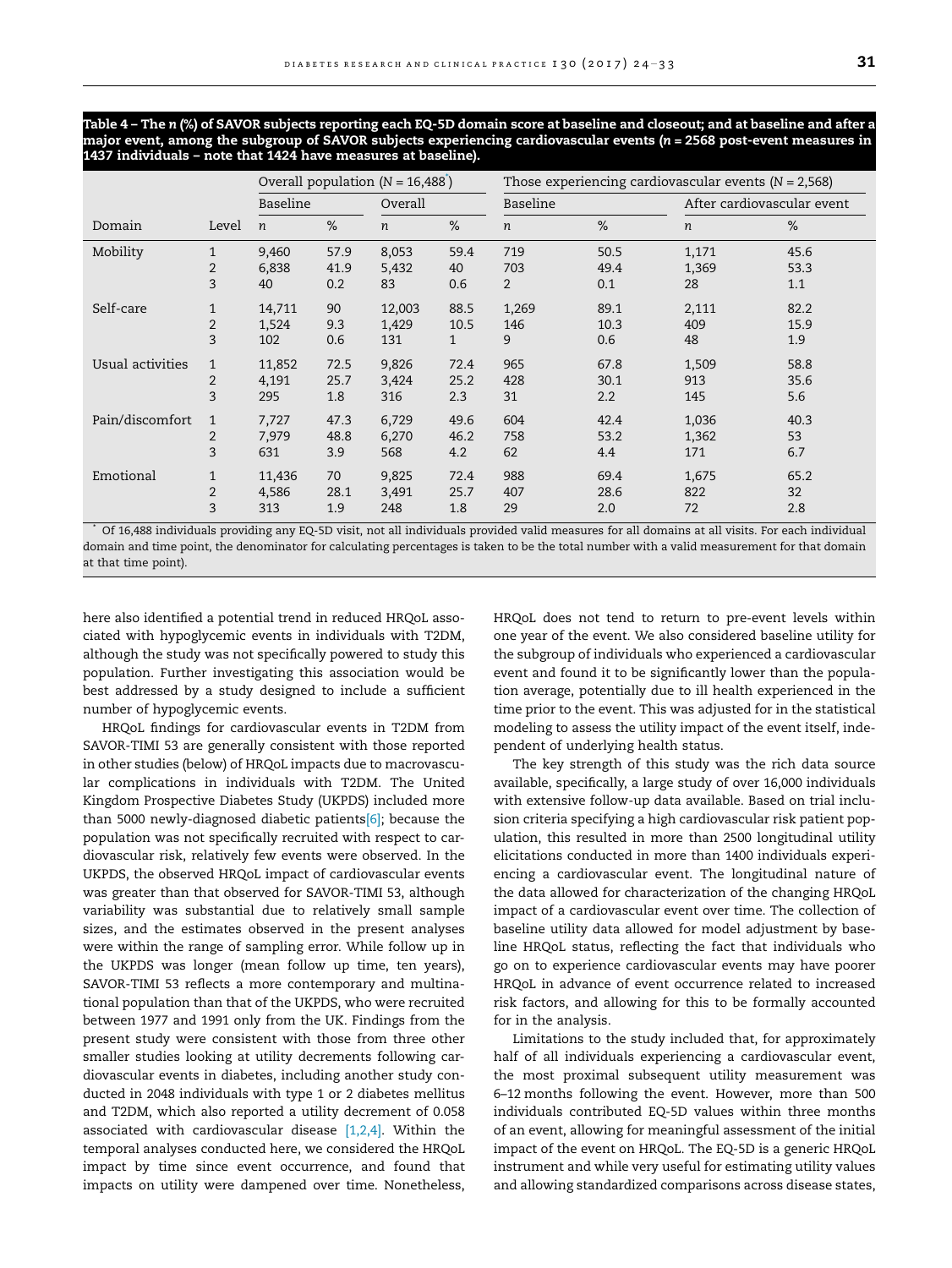<span id="page-7-0"></span>Table 4 – The n (%) of SAVOR subjects reporting each EQ-5D domain score at baseline and closeout; and at baseline and after a major event, among the subgroup of SAVOR subjects experiencing cardiovascular events (n = 2568 post-event measures in 1437 individuals – note that 1424 have measures at baseline).

|                  |                | Overall population $(N = 16,488)$ |      |         | Those experiencing cardiovascular events $(N = 2,568)$ |                |      |                            |      |
|------------------|----------------|-----------------------------------|------|---------|--------------------------------------------------------|----------------|------|----------------------------|------|
|                  |                | Baseline                          |      | Overall |                                                        | Baseline       |      | After cardiovascular event |      |
| Domain           | Level          | $\boldsymbol{n}$                  | $\%$ | n       | $\%$                                                   | n              | %    | n                          | %    |
| Mobility         | $\mathbf{1}$   | 9,460                             | 57.9 | 8,053   | 59.4                                                   | 719            | 50.5 | 1,171                      | 45.6 |
|                  | 2              | 6,838                             | 41.9 | 5,432   | 40                                                     | 703            | 49.4 | 1,369                      | 53.3 |
|                  | 3              | 40                                | 0.2  | 83      | 0.6                                                    | $\overline{2}$ | 0.1  | 28                         | 1.1  |
| Self-care        | $\mathbf{1}$   | 14,711                            | 90   | 12,003  | 88.5                                                   | 1,269          | 89.1 | 2,111                      | 82.2 |
|                  | $\overline{2}$ | 1,524                             | 9.3  | 1,429   | 10.5                                                   | 146            | 10.3 | 409                        | 15.9 |
|                  | 3              | 102                               | 0.6  | 131     | $\mathbf{1}$                                           | 9              | 0.6  | 48                         | 1.9  |
| Usual activities | 1              | 11,852                            | 72.5 | 9,826   | 72.4                                                   | 965            | 67.8 | 1,509                      | 58.8 |
|                  | $\overline{2}$ | 4,191                             | 25.7 | 3,424   | 25.2                                                   | 428            | 30.1 | 913                        | 35.6 |
|                  | 3              | 295                               | 1.8  | 316     | 2.3                                                    | 31             | 2.2  | 145                        | 5.6  |
| Pain/discomfort  | 1              | 7,727                             | 47.3 | 6,729   | 49.6                                                   | 604            | 42.4 | 1,036                      | 40.3 |
|                  | 2              | 7.979                             | 48.8 | 6,270   | 46.2                                                   | 758            | 53.2 | 1,362                      | 53   |
|                  | 3              | 631                               | 3.9  | 568     | 4.2                                                    | 62             | 4.4  | 171                        | 6.7  |
| Emotional        | $\mathbf{1}$   | 11,436                            | 70   | 9,825   | 72.4                                                   | 988            | 69.4 | 1,675                      | 65.2 |
|                  | 2              | 4,586                             | 28.1 | 3,491   | 25.7                                                   | 407            | 28.6 | 822                        | 32   |
|                  | 3              | 313                               | 1.9  | 248     | 1.8                                                    | 29             | 2.0  | 72                         | 2.8  |

\* Of 16,488 individuals providing any EQ-5D visit, not all individuals provided valid measures for all domains at all visits. For each individual domain and time point, the denominator for calculating percentages is taken to be the total number with a valid measurement for that domain at that time point).

here also identified a potential trend in reduced HRQoL associated with hypoglycemic events in individuals with T2DM, although the study was not specifically powered to study this population. Further investigating this association would be best addressed by a study designed to include a sufficient number of hypoglycemic events.

HRQoL findings for cardiovascular events in T2DM from SAVOR-TIMI 53 are generally consistent with those reported in other studies (below) of HRQoL impacts due to macrovascular complications in individuals with T2DM. The United Kingdom Prospective Diabetes Study (UKPDS) included more than 5000 newly-diagnosed diabetic patient[s\[6\]](#page-9-0); because the population was not specifically recruited with respect to cardiovascular risk, relatively few events were observed. In the UKPDS, the observed HRQoL impact of cardiovascular events was greater than that observed for SAVOR-TIMI 53, although variability was substantial due to relatively small sample sizes, and the estimates observed in the present analyses were within the range of sampling error. While follow up in the UKPDS was longer (mean follow up time, ten years), SAVOR-TIMI 53 reflects a more contemporary and multinational population than that of the UKPDS, who were recruited between 1977 and 1991 only from the UK. Findings from the present study were consistent with those from three other smaller studies looking at utility decrements following cardiovascular events in diabetes, including another study conducted in 2048 individuals with type 1 or 2 diabetes mellitus and T2DM, which also reported a utility decrement of 0.058 associated with cardiovascular disease  $[1,2,4]$ . Within the temporal analyses conducted here, we considered the HRQoL impact by time since event occurrence, and found that impacts on utility were dampened over time. Nonetheless,

HRQoL does not tend to return to pre-event levels within one year of the event. We also considered baseline utility for the subgroup of individuals who experienced a cardiovascular event and found it to be significantly lower than the population average, potentially due to ill health experienced in the time prior to the event. This was adjusted for in the statistical modeling to assess the utility impact of the event itself, independent of underlying health status.

The key strength of this study was the rich data source available, specifically, a large study of over 16,000 individuals with extensive follow-up data available. Based on trial inclusion criteria specifying a high cardiovascular risk patient population, this resulted in more than 2500 longitudinal utility elicitations conducted in more than 1400 individuals experiencing a cardiovascular event. The longitudinal nature of the data allowed for characterization of the changing HRQoL impact of a cardiovascular event over time. The collection of baseline utility data allowed for model adjustment by baseline HRQoL status, reflecting the fact that individuals who go on to experience cardiovascular events may have poorer HRQoL in advance of event occurrence related to increased risk factors, and allowing for this to be formally accounted for in the analysis.

Limitations to the study included that, for approximately half of all individuals experiencing a cardiovascular event, the most proximal subsequent utility measurement was 6–12 months following the event. However, more than 500 individuals contributed EQ-5D values within three months of an event, allowing for meaningful assessment of the initial impact of the event on HRQoL. The EQ-5D is a generic HRQoL instrument and while very useful for estimating utility values and allowing standardized comparisons across disease states,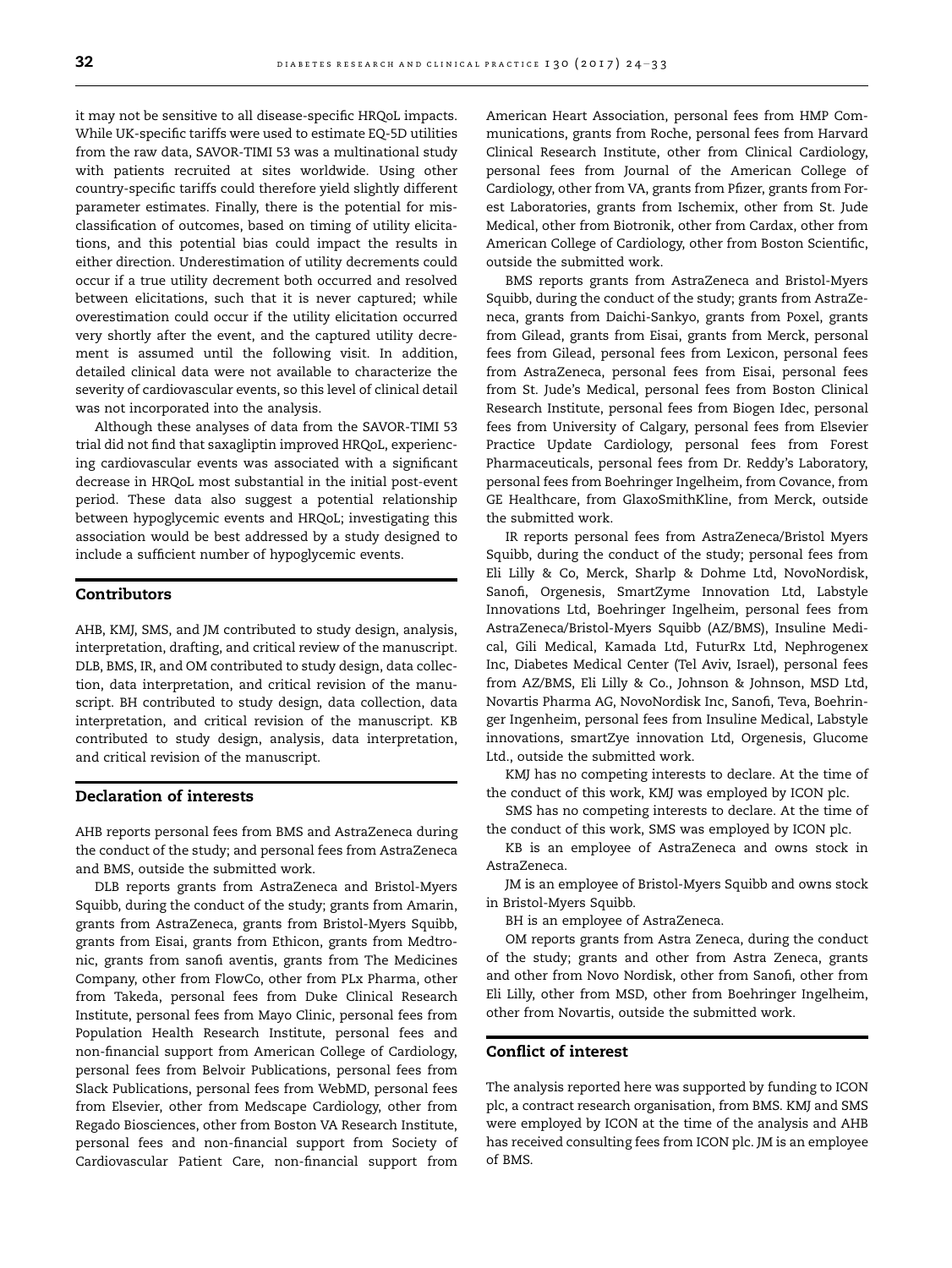it may not be sensitive to all disease-specific HRQoL impacts. While UK-specific tariffs were used to estimate EQ-5D utilities from the raw data, SAVOR-TIMI 53 was a multinational study with patients recruited at sites worldwide. Using other country-specific tariffs could therefore yield slightly different parameter estimates. Finally, there is the potential for misclassification of outcomes, based on timing of utility elicitations, and this potential bias could impact the results in either direction. Underestimation of utility decrements could occur if a true utility decrement both occurred and resolved between elicitations, such that it is never captured; while overestimation could occur if the utility elicitation occurred very shortly after the event, and the captured utility decrement is assumed until the following visit. In addition, detailed clinical data were not available to characterize the severity of cardiovascular events, so this level of clinical detail was not incorporated into the analysis.

Although these analyses of data from the SAVOR-TIMI 53 trial did not find that saxagliptin improved HRQoL, experiencing cardiovascular events was associated with a significant decrease in HRQoL most substantial in the initial post-event period. These data also suggest a potential relationship between hypoglycemic events and HRQoL; investigating this association would be best addressed by a study designed to include a sufficient number of hypoglycemic events.

# Contributors

AHB, KMJ, SMS, and JM contributed to study design, analysis, interpretation, drafting, and critical review of the manuscript. DLB, BMS, IR, and OM contributed to study design, data collection, data interpretation, and critical revision of the manuscript. BH contributed to study design, data collection, data interpretation, and critical revision of the manuscript. KB contributed to study design, analysis, data interpretation, and critical revision of the manuscript.

# Declaration of interests

AHB reports personal fees from BMS and AstraZeneca during the conduct of the study; and personal fees from AstraZeneca and BMS, outside the submitted work.

DLB reports grants from AstraZeneca and Bristol-Myers Squibb, during the conduct of the study; grants from Amarin, grants from AstraZeneca, grants from Bristol-Myers Squibb, grants from Eisai, grants from Ethicon, grants from Medtronic, grants from sanofi aventis, grants from The Medicines Company, other from FlowCo, other from PLx Pharma, other from Takeda, personal fees from Duke Clinical Research Institute, personal fees from Mayo Clinic, personal fees from Population Health Research Institute, personal fees and non-financial support from American College of Cardiology, personal fees from Belvoir Publications, personal fees from Slack Publications, personal fees from WebMD, personal fees from Elsevier, other from Medscape Cardiology, other from Regado Biosciences, other from Boston VA Research Institute, personal fees and non-financial support from Society of Cardiovascular Patient Care, non-financial support from American Heart Association, personal fees from HMP Communications, grants from Roche, personal fees from Harvard Clinical Research Institute, other from Clinical Cardiology, personal fees from Journal of the American College of Cardiology, other from VA, grants from Pfizer, grants from Forest Laboratories, grants from Ischemix, other from St. Jude Medical, other from Biotronik, other from Cardax, other from American College of Cardiology, other from Boston Scientific, outside the submitted work.

BMS reports grants from AstraZeneca and Bristol-Myers Squibb, during the conduct of the study; grants from AstraZeneca, grants from Daichi-Sankyo, grants from Poxel, grants from Gilead, grants from Eisai, grants from Merck, personal fees from Gilead, personal fees from Lexicon, personal fees from AstraZeneca, personal fees from Eisai, personal fees from St. Jude's Medical, personal fees from Boston Clinical Research Institute, personal fees from Biogen Idec, personal fees from University of Calgary, personal fees from Elsevier Practice Update Cardiology, personal fees from Forest Pharmaceuticals, personal fees from Dr. Reddy's Laboratory, personal fees from Boehringer Ingelheim, from Covance, from GE Healthcare, from GlaxoSmithKline, from Merck, outside the submitted work.

IR reports personal fees from AstraZeneca/Bristol Myers Squibb, during the conduct of the study; personal fees from Eli Lilly & Co, Merck, Sharlp & Dohme Ltd, NovoNordisk, Sanofi, Orgenesis, SmartZyme Innovation Ltd, Labstyle Innovations Ltd, Boehringer Ingelheim, personal fees from AstraZeneca/Bristol-Myers Squibb (AZ/BMS), Insuline Medical, Gili Medical, Kamada Ltd, FuturRx Ltd, Nephrogenex Inc, Diabetes Medical Center (Tel Aviv, Israel), personal fees from AZ/BMS, Eli Lilly & Co., Johnson & Johnson, MSD Ltd, Novartis Pharma AG, NovoNordisk Inc, Sanofi, Teva, Boehringer Ingenheim, personal fees from Insuline Medical, Labstyle innovations, smartZye innovation Ltd, Orgenesis, Glucome Ltd., outside the submitted work.

KMJ has no competing interests to declare. At the time of the conduct of this work, KMJ was employed by ICON plc.

SMS has no competing interests to declare. At the time of the conduct of this work, SMS was employed by ICON plc.

KB is an employee of AstraZeneca and owns stock in AstraZeneca.

JM is an employee of Bristol-Myers Squibb and owns stock in Bristol-Myers Squibb.

BH is an employee of AstraZeneca.

OM reports grants from Astra Zeneca, during the conduct of the study; grants and other from Astra Zeneca, grants and other from Novo Nordisk, other from Sanofi, other from Eli Lilly, other from MSD, other from Boehringer Ingelheim, other from Novartis, outside the submitted work.

## Conflict of interest

The analysis reported here was supported by funding to ICON plc, a contract research organisation, from BMS. KMJ and SMS were employed by ICON at the time of the analysis and AHB has received consulting fees from ICON plc. JM is an employee of BMS.